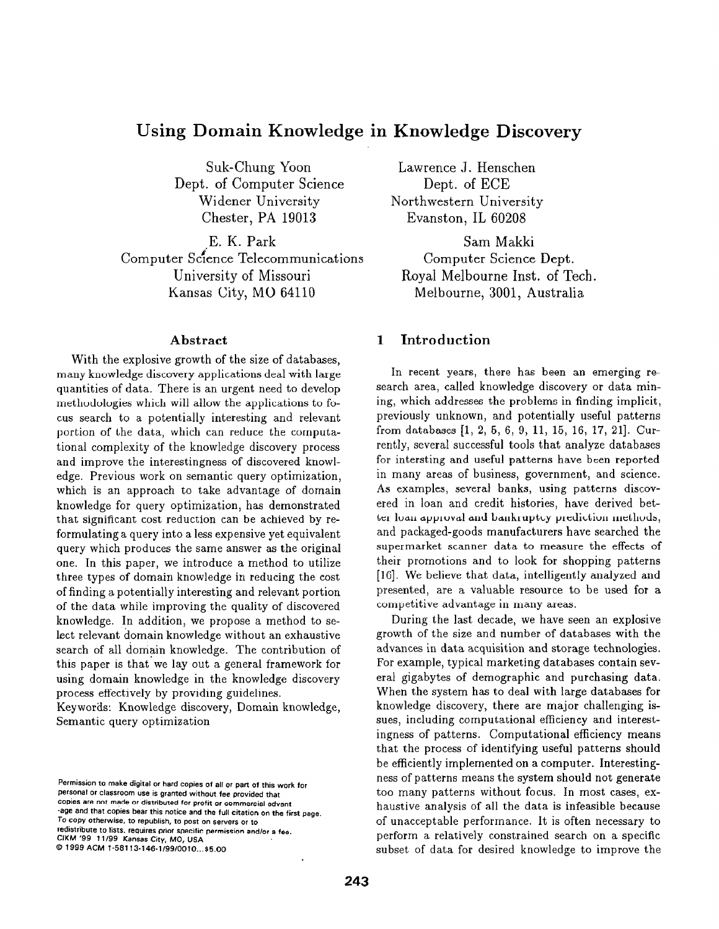# Using Domain Knowledge in Knowledge Discovery

Suk-Chung Yoon Dept. of Computer Science Widener University Chester, PA 19013

,E. K. Park Computer Scfence Telecommunications University of Missouri Kansas City, MO 64110

#### Abstract

With the explosive growth of the size of databases, many knowledge discovery applications deal with large quantities of data. There is an urgent need to develop methodologies which will allow the applications to focus search to a potentially interesting and relevant portion of the data, which can reduce the computational complexity of the knowledge discovery process and improve the interestingness of discovered knowledge. Previous work on semantic query optimization, which is an approach to take advantage of domain knowledge for query optimization, has demonstrated that significant cost reduction can be achieved by reformulating a query into a less expensive yet equivalent query which produces the same answer as the original one. In this paper, we introduce a method to utilize three types of domain knowledge in reducing the cost of finding a potentially interesting and relevant portion of the data while improving the quality of discovered knowledge. In addition, we propose a method to select relevant domain knowledge without an exhaustive search of all domain knowledge. The contribution of this paper is that'we lay out a general framework for using domain knowledge in the knowledge discovery process effectively by providing guidelines.

Keywords: Knowledge discovery, Domain knowledge, Semantic query optimization

Lawrence J. Henschen Dept. of ECE Northwestern University Evanston, IL 60208

Sam Makki Computer Science Dept. Royal Melbourne Inst. of Tech. Melbourne, 3001, Australia

# 1 Introduction

In recent years, there has been an emerging research area, called knowledge discovery or data mining, which addresses the problems in finding implicit, previously unknown, and potentially useful patterns from databases [1, 2, 5, 6, 9, 11, 15, 16, 17, 211. Currently, several successful tools that analyze databases for intersting and useful patterns have been reported in many areas of business, government, and science. As examples, several banks, using patterns discovered in loan and credit histories, have derived better loan approval and bankruptcy prediction methods, and packaged-goods manufacturers have searched the supermarket scanner data to measure the effects of their promotions and to look for shopping patterns [16]. We believe that data, intelligently analyzed and presented, are a valuable resource to be used for a competitive advantage in many areas.

During the last decade, we have seen an explosive growth of the size and number of databases with the advances in data acquisition and storage technologies. For example, typical marketing databases contain several gigabytes of demographic and purchasing data. When the system has to deal with large databases for knowledge discovery, there are major challenging issues, including computational efficiency and interestingness of patterns. Computational efficiency means that the process of identifying useful patterns should be efficiently implemented on a computer. Interestingness of patterns means the system should not generate too many patterns without focus. In most cases, exhaustive analysis of all the data is infeasible because of unacceptable performance. It is often necessary to perform a relatively constrained search on a specific subset of data for desired knowledge to improve the

Permission to make digital or hard copies of all or part of this work for personal or classroom use is granted without fee provided that copies are not made or distributed for profit or commercial advant -age and that copies bear this notice and the full citation on the first page. To copy otherwise, to republish, to post on servers or to redistribute to lists. requires prior specific permission and/or a fee. CIKM '99 11/99 Kansas City, MO, USA 0 1999 ACM l-58113-146.1/99/0010...\$5.00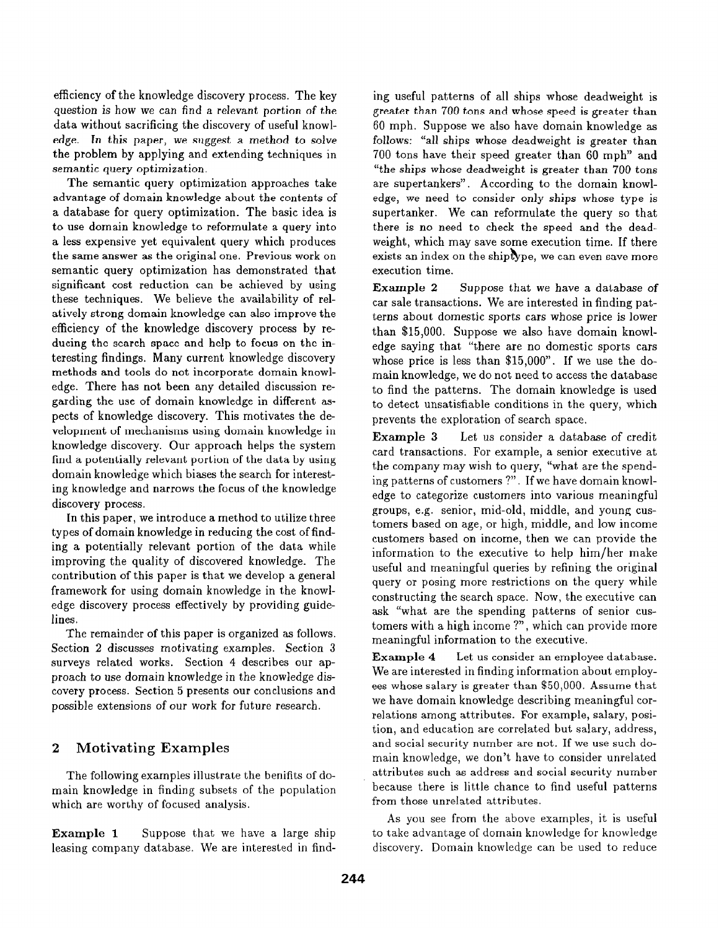efficiency of the knowledge discovery process. The key question is how we can find a relevant portion of the data without sacrificing the discovery of useful knowledge. In this paper, we suggest a method to solve the problem by applying and extending techniques in semantic query optimization.

The semantic query optimization approaches take advantage of domain knowledge about the contents of a database for query optimization. The basic idea is to use domain knowledge to reformulate a query into a less expensive yet equivalent query which produces the same answer as the original one. Previous work on semantic query optimization has demonstrated that significant cost reduction can be achieved by using these techniques. We believe the availability of relatively strong domain knowledge can also improve the efficiency of the knowledge discovery process by reducing the search space and help to focus on the interesting findings. Many current knowledge discovery methods and tools do not incorporate domain knowledge. There has not been any detailed discussion regarding the use of domain knowledge in different aspects of knowledge discovery. This motivates the development of mechanisms using domain knowledge in knowledge discovery. Our approach helps the system find a potentially relevant portion of the data by using domain knowledge which biases the search for interesting knowledge and narrows the focus of the knowledge discovery process.

In this paper, we introduce a method to utilize three types of domain knowledge in reducing the cost of finding a potentially relevant portion of the data while improving the quality of discovered knowledge. The contribution of this paper is that we develop a general framework for using domain knowledge in the knowledge discovery process effectively by providing guidelines.

The remainder of this paper is organized as follows. Section 2 discusses motivating examples. Section 3 surveys related works. Section 4 describes our approach to use domain knowledge in the knowledge discovery process. Section 5 presents our conclusions and possible extensions of our work for future research.

# 2 Motivating Examples

The following examples illustrate the benifits of domain knowledge in finding subsets of the population which are worthy of focused analysis.

**Example 1** Suppose that we have a large ship leasing company database. We are interested in find-

ing useful patterns of all ships whose deadweight is greater than 700 tons and whose speed is greater than 60 mph. Suppose we also have domain knowledge as follows: "all ships whose deadweight is greater than 700 tons have their speed greater than 60 mph" and "the ships whose deadweight is greater than 700 tons are supertankers". According to the domain knowledge, we need to consider only ships whose type is supertanker. We can reformulate the query so that there is no need to check the speed and the deadweight, which may save some execution time. If there exists an index on the shiptype, we can even save more execution time.

Example 2 Suppose that we have a database of car sale transactions. We are interested in finding patterns about domestic sports cars whose price is lower than \$15,000. Suppose we also have domain knowledge saying that "there are no domestic sports cars whose price is less than \$15,000". If we use the domain knowledge, we do not need to access the database to find the patterns. The domain knowledge is used to detect unsatisfiable conditions in the query, which prevents the exploration of search space.

Example 3 Let us consider a database of credit card transactions. For example, a senior executive at, the company may wish to query, "what are the spending patterns of customers ?". If we have domain knowledge to categorize customers into various meaningful groups, e.g. senior, mid-old, middle, and young customers based on age, or high, middle, and low income customers based on income, then we can provide the information to the executive to help him/her make useful and meaningful queries by refining the original query or posing more restrictions on the query while constructing the search space. Now, the executive can ask "what are the spending patterns of senior customers with a high income ?", which can provide more meaningful information to the executive.

Example 4 Let us consider an employee database. We are interested in finding information about employees whose salary is greater than \$50,000. Assume that we have domain knowledge describing meaningful correlations among attributes. For example, salary, position, and education are correlated but salary, address, and social security number are not. If we use such domain knowledge, we don't have to consider unrelated attributes such as address and social security number because there is little chance to find useful patterns from those unrelated attributes.

As you see from the above examples, it is useful to take advantage of domain knowledge for knowledge discovery. Domain knowledge can be used to reduce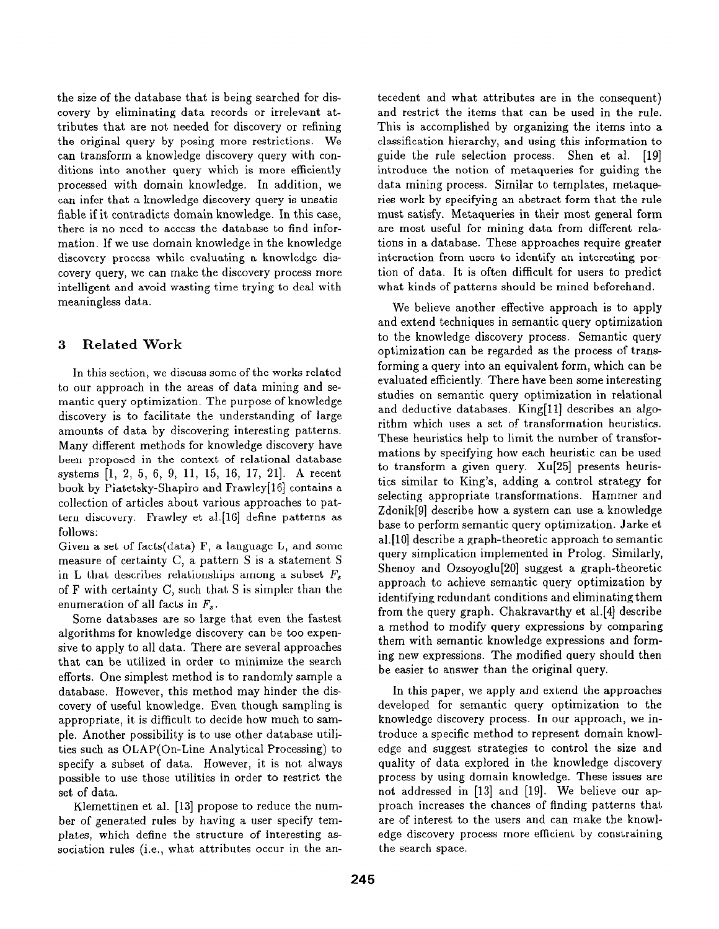the size of the database that is being searched for discovery by eliminating data records or irrelevant attributes that are not needed for discovery or refining the original query by posing more restrictions. We can transform a knowledge discovery query with conditions into another query which is more efficiently processed with domain knowledge. In addition, we can infer that a knowledge discovery query is unsatisfiable if it contradicts domain knowledge. In this case, there is no need to access the database to find information. If we use domain knowledge in the knowledge discovery process while evaluating a knowledge discovery query, we can make the discovery process more intelligent and avoid wasting time trying to deal with meaningless data.

### 3 Related Work

In this section, we discuss some of the works related to our approach in the areas of data mining and semantic query optimization. The purpose of knowledge discovery is to facilitate the understanding of large amounts of data by discovering interesting patterns. Many different methods for knowledge discovery have been proposed in the context of relational database systems [1, 2, 5, 6, 9, 11, 15, 16, 17, 21]. A recent book by Piatetsky-Shapiro and Frawley[lG] contains a collection of articles about various approaches to pattern discovery. Frawley et a1.[16] define patterns as follows:

Given a set of facts(data) F, a language L, and some measure of certainty C, a pattern S is a statement S in L that describes relationships among a subset  $F_s$ of F with certainty C, such that S is simpler than the enumeration of all facts in  $F_s$ .

Some databases are so large that even the fastest algorithms for knowledge discovery can be too expensive to apply to all data. There are several approaches that can be utilized in order to minimize the search efforts. One simplest method is to randomly sample a database. However, this method may hinder the discovery of useful knowledge. Even though sampling is appropriate, it is difficult to decide how much to sample. Another possibility is to use other database utilities such as OLAP(On-Line Analytical Processing) to specify a subset of data. However, it is not always possible to use those utilities in order to restrict the set of data.

Klemettinen et al. [13] propose to reduce the number of generated rules by having a user specify templates, which define the structure of interesting association rules (i.e., what attributes occur in the antecedent and what attributes are in the consequent) and restrict the items that can be used in the rule. This is accomplished by organizing the items into a classification hierarchy, and using this information to guide the rule selection process. Shen et al. [19] introduce the notion of metaqueries for guiding the data mining process. Similar to templates, metaqueries work by specifying an abstract form that the rule must satisfy. Metaqueries in their most general form are most useful for mining data from different relations in a database. These approaches require greater interaction from users to identify an interesting portion of data. It is often difficult for users to predict what kinds of patterns should be mined beforehand.

We believe another effective approach is to apply and extend techniques in semantic query optimization to the knowledge discovery process. Semantic query optimization can be regarded as the process of transforming a query into an equivalent form, which can be evaluated efficiently. There have been some interesting studies on semantic query optimization in relational and deductive databases. King[ll] describes an algorithm which uses a set of transformation heuristics. These heuristics help to limit the number of transformations by specifying how each heuristic can be used to transform a given query. Xu[25] presents heuristics similar to King's, adding a control strategy for selecting appropriate transformations. Hammer and Zdonik<sup>[9]</sup> describe how a system can use a knowledge base to perform semantic query optimization. Jarke et al.[lO] describe a graph-theoretic approach to semantic query simplication implemented in Prolog. Similarly, Shenoy and Ozsoyoglu[20] suggest a graph-theoretic approach to achieve semantic query optimization by identifying redundant conditions and eliminating them from the query graph. Chakravarthy et a1.[4] describe a method to modify query expressions by comparing them with semantic knowledge expressions and forming new expressions. The modified query should then be easier to answer than the original query.

In this paper, we apply and extend the approaches developed for semantic query optimization to the knowledge discovery process. In our approach, we introduce a specific method to represent domain knowledge and suggest strategies to control the size and quality of data explored in the knowledge discovery process by using domain knowledge. These issues are not addressed in [13] and [19]. We believe our approach increases the chances of finding patterns that are of interest to the users and can make the knowledge discovery process more efficient by constraining the search space.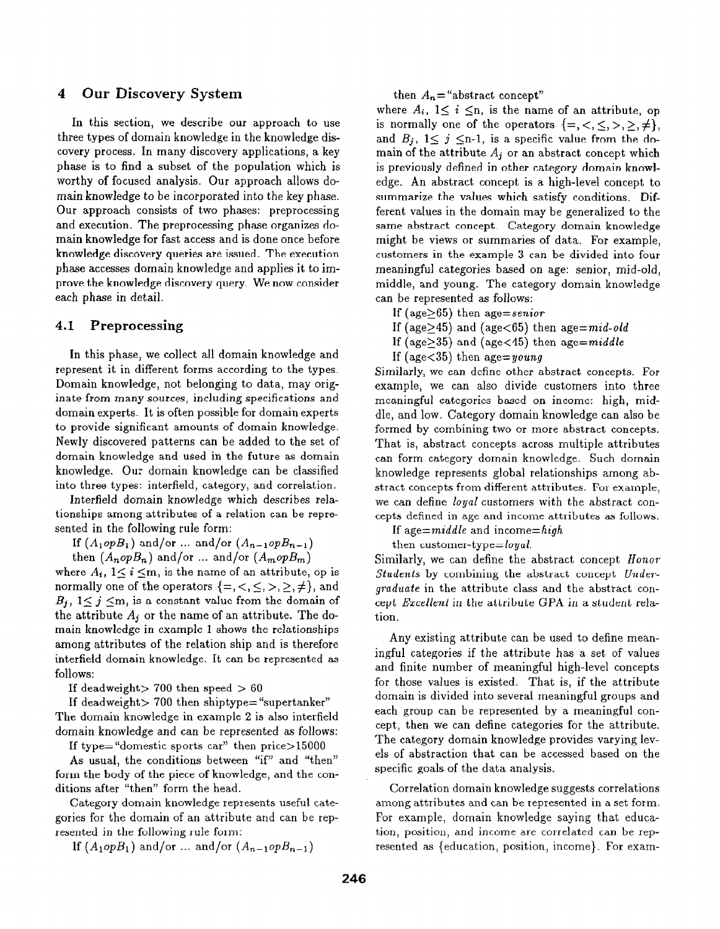# 4 Our Discovery System

In this section, we describe our approach to use three types of domain knowledge in the knowledge discovery process. In many discovery applications, a key phase is to find a subset of the population which is worthy of focused analysis. Our approach allows domain knowledge to be incorporated into the key phase. Our approach consists of two phases: preprocessing and execution. The preprocessing phase organizes domain knowledge for fast access and is done once before knowledge discovery queries are issued. The execution phase accesses domain knowledge and applies it to improve the knowledge discovery query. We now consider each phase in detail.

#### 4.1 Preprocessing

In this phase, we collect all domain knowledge and represent it in different forms according to the types. Domain knowledge, not belonging to data, may originate from many sources, including specifications and domain experts. It is often possible for domain experts to provide significant amounts of domain knowledge. Newly discovered patterns can be added to the set of domain knowledge and used in the future as domain knowledge. Our domain knowledge can be classified into three types: interfield, category, and correlation.

Interfield domain knowledge which describes relationships among attributes of a relation can be represented in the following rule form:

If  $(A_1 \circ pB_1)$  and/or ... and/or  $(A_{n-1} \circ pB_{n-1})$ 

then  $(A_n \circ pB_n)$  and/or ... and/or  $(A_m \circ pB_m)$ 

where  $A_i$ ,  $1 \le i \le m$ , is the name of an attribute, op is normally one of the operators  $\{=,<,\leq,>,\geq,\neq\}$ , and  $B_j$ ,  $1 \leq j \leq m$ , is a constant value from the domain of the attribute  $A_i$  or the name of an attribute. The domain knowledge in example 1 shows the relationships among attributes of the relation ship and is therefore interfield domain knowledge. It can be represented as follows:

If deadweight > 700 then speed  $> 60$ 

If deadweight  $> 700$  then shiptype= "supertanker" The domain knowledge in example 2 is also interfield domain knowledge and can be represented as follows:

If type= "domestic sports car" then price>15000

As usual, the conditions between "if" and "then" form the body of the piece of knowledge, and the conditions after "then" form the head.

Category domain knowledge represents useful categories for the domain of an attribute and can be represented in the following rule form:

If  $(A_1 \circ pB_1)$  and/or ... and/or  $(A_{n-1} \circ pB_{n-1})$ 

then  $A_n$ ="abstract concept"

where  $A_i$ ,  $1 \leq i \leq n$ , is the name of an attribute, op is normally one of the operators  $\{=,<,\leq,>,\geq,\neq\},\$ and  $B_i$ ,  $1 \leq j \leq n-1$ , is a specific value from the domain of the attribute  $A_i$  or an abstract concept which is previously defined in other category domain knowledge. An abstract concept is a high-level concept to summarize the values which satisfy conditions. Different values in the domain may be generalized to the same abstract concept. Category domain knowledge might be views or summaries of data. For example, customers in the example 3 can be divided into four meaningful categories based on age: senior, mid-old, middle, and young. The category domain knowledge can be represented as follows:

- If (age $>65$ ) then age=senior
- If (age $>45$ ) and (age $< 65$ ) then age $= mid$ -old
- If (age $>35$ ) and (age $<$ 45) then age=middle
- If (age $<$ 35) then age=young

Similarly, we can define other abstract concepts. For example, we can also divide customers into three meaningful categories based on income: high, middle, and low. Category domain knowledge can also be formed by combining two or more abstract concepts. That is, abstract concepts across multiple attributes can form category domain knowledge. Such domain knowledge represents global relationships among abstract concepts from different attributes. For example, we can define loyal customers with the abstract concepts defined in age and income attributes as follows:

If age= $middle$  and income= $high$ 

then customer-type=loyal.

Similarly, we can define the abstract concept Honor Students by combining the abstract concept Undergraduate in the attribute class and the abstract concept Excellent in the attribute GPA in a student relation.

Any existing attribute can be used to define meaningful categories if the attribute has a set of values and finite number of meaningful high-level concepts for those values is existed. That is, if the attribute domain is divided into several meaningful groups and each group can be represented by a meaningful concept, then we can define categories for the attribute. The category domain knowledge provides varying levels of abstraction that can be accessed based on the specific goals of the data analysis.

Correlation domain knowledge suggests correlations among attributes and can be represented in a set form. For example, domain knowledge saying that education, position, and income are correlated can be represented as {education, position, income}. For exam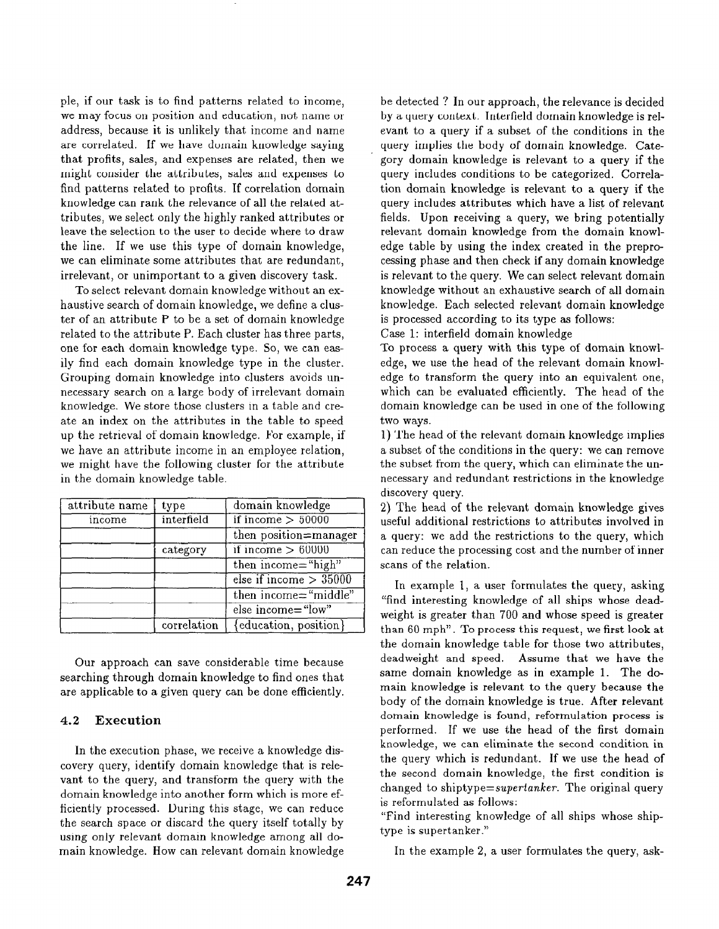ple, if our task is to find patterns related to income, we may focus on position and education, not name or address, because it is unlikely that income and name are correlated. If we have domain knowledge saying that profits, sales, and expenses are related, then we might consider the attributes, sales and expenses to find patterns related to profits. If correlation domain knowledge can rank the relevance of all the related attributes, we select only the highly ranked attributes or leave the selection to the user to decide where to draw the line. If we use this type of domain knowledge, we can eliminate some attributes that are redundant, irrelevant, or unimportant to a given discovery task.

To select relevant domain knowledge without an exhaustive search of domain knowledge, we define a cluster of an attribute P to be a set of domain knowledge related to the attribute P. Each cluster has three parts, one for each domain knowledge type. So, we can easily find each domain knowledge type in the cluster. Grouping domain knowledge into clusters avoids unnecessary search on a large body of irrelevant domain knowledge. We store those clusters in a table and create an index on the attributes in the table to speed up the retrieval of domain knowledge. For example, if we have an attribute income in an employee relation, we might have the following cluster for the attribute in the domain knowledge table.

| attribute name | type        | domain knowledge         |
|----------------|-------------|--------------------------|
| income         | interfield  | if income $> 50000$      |
|                |             | then position=manager    |
|                | category    | if income $> 60000$      |
|                |             | then income="high"       |
|                |             | else if income $> 35000$ |
|                |             | then income="middle"     |
|                |             | else income="low"        |
|                | correlation | {education, position}    |

Our approach can save considerable time because searching through domain knowledge to find ones that are applicable to a given query can be done efficiently.

#### 4.2 Execution

In the execution phase, we receive a knowledge discovery query, identify domain knowledge that is relevant to the query, and transform the query with the domain knowledge into another form which is more efficiently processed. During this stage, we can reduce the search space or discard the query itself totally by using only relevant domain knowledge among all domain knowledge. How can relevant domain knowledge be detected ? In our approach, the relevance is decided by a query context. Interfield domain knowledge is relevant to a query if a subset of the conditions in the query implies the body of domain knowledge. Category domain knowledge is relevant to a query if the query includes conditions to be categorized. Correlation domain knowledge is relevant to a query if the query includes attributes which have a list of relevant fields. Upon receiving a query, we bring potentially relevant domain knowledge from the domain knowledge table by using the index created in the preprocessing phase and then check if any domain knowledge is relevant to the query. We can select relevant domain knowledge without an exhaustive search of all domain knowledge. Each selected relevant domain knowledge is processed according to its type as follows:

Case 1: interfield domain knowledge

To process a query with this type of domain knowledge, we use the head of the relevant domain knowledge to transform the query into an equivalent one, which can be evaluated efficiently. The head of the domain knowledge can be used in one of the following two ways.

1) The head of the relevant domain knowledge implies a subset of the conditions in the query: we can remove the subset from the query, which can eliminate the unnecessary and redundant restrictions in the knowledge discovery query.

2) The head of the relevant domain knowledge gives useful additional restrictions to attributes involved in a query: we add the restrictions to the query, which can reduce the processing cost and the number of inner scans of the relation.

In example 1, a user formulates the query, asking "find interesting knowledge of all ships whose deadweight is greater than 700 and whose speed is greater than 60 mph". To process this request, we first look at the domain knowledge table for those two attributes, deadweight and speed. Assume that we have the same domain knowledge as in example 1. The domain knowledge is relevant to the query because the body of the domain knowledge is true. After relevant domain knowledge is found, reformulation process is performed. If we use the head of the first domain knowledge, we can eliminate the second condition in the query which is redundant. If we use the head of the second domain knowledge, the first condition is changed to shiptype=supertanker. The original query is reformulated as follows:

"Find interesting knowledge of all ships whose shiptype is supertanker."

In the example 2, a user formulates the query, ask-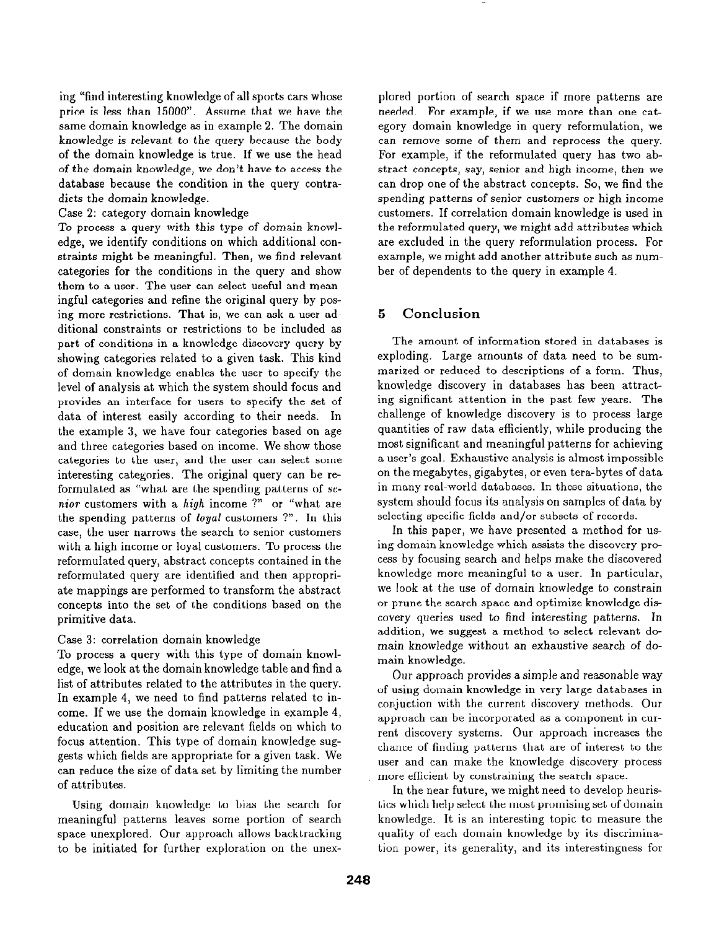ing "find interesting knowledge of all sports cars whose price is less than 15000". Assume that we have the same domain knowledge as in example 2. The domain knowledge is relevant to the query because the body of the domain knowledge is true. If we use the head of the domain knowledge, we don't have to access the database because the condition in the query contradicts the domain knowledge.

Case 2: category domain knowledge

To process a query with this type of domain knowledge, we identify conditions on which additional constraints might be meaningful. Then, we find relevant categories for the conditions in the query and show them to a user. The user can select useful and meaningful categories and refine the original query by posing more restrictions. That is, we can ask a user additional constraints or restrictions to be included as part of conditions in a knowledge discovery query by showing categories related to a given task. This kind of domain knowledge enables the user to specify the level of analysis at which the system should focus and provides an interface for users to specify the set of data of interest easily according to their needs. In the example 3, we have four categories based on age and three categories based on income. We show those categories to the user, and the user can select some interesting categories. The original query can be reformulated as "what are the spending patterns of senior customers with a high income ?" or "what are the spending patterns of loyal customers ?". In this case, the user narrows the search to senior customers with a high income or loyal customers. To process the reformuIated query, abstract concepts contained in the reformuIated query are identified and then appropriate mappings are performed to transform the abstract concepts into the set, of the conditions based on the primitive data.

#### Case 3: correlation domain knowledge

To process a query with this type of domain knowledge, we look at the domain knowledge table and find a list of attributes related to the attributes in the query. In example 4, we need to find patterns related to income. If we use the domain knowledge in example 4, education and position are relevant fields on which to focus attention. This type of domain knowledge suggests which fields are appropriate for a given task. We can reduce the size of data set by limiting the number of attributes.

Using domain knowledge to bias the search for meaningful patterns leaves some portion of search space unexplored. Our approach allows backtracking to be initiated for further exploration on the unexplored portion of search space if more patterns are needed. For example, if we use more than one category domain knowledge in query reformulation, we can remove some of them and reprocess the query. For example, if the reformulated query has two abstract concepts, say, senior and high income, then we can drop one of the abstract concepts. So, we find the spending patterns of senior customers or high income customers. If correlation domain knowledge is used in the reformulated query, we might add attributes which are excluded in the query reformulation process. For example, we might add another attribute such as number of dependents to the query in example 4.

# 5 Conclusion

The amount of information stored in databases is exploding. Large amounts of data need to be summarized or reduced to descriptions of a form. Thus, knowledge discovery in databases has been attracting significant attention in the past few years. The challenge of knowledge discovery is to process large quantities of raw data efficiently, while producing the most significant and meaningful patterns for achieving a user's goal. Exhaustive analysis is almost impossible on the megabytes, gigabytes, or even tera-bytes of data in many real-world databases. In these situations, the system shouId focus its analysis on samples of data by selecting specific fields and/or subsets of records.

In this paper, we have presented a method for using domain knowledge which assists the discovery process by focusing search and helps make the discovered knowledge more meaningful to a user. In particular, we look at the use of domain knowledge to constrain or prune the search space and optimize knowledge discovery queries used to find interesting patterns. In addition, we suggest a method to select relevant domain knowledge without an exhaustive search of domain knowledge.

Our approach provides a simple and reasonable way of using domain knowledge in very large databases in conjuction with the current discovery methods. Our approach can be incorporated as a component in current discovery systems. Our approach increases the chance of finding patterns that are of interest to the user and can make the knowledge discovery process more efficient by constraining the search space.

In the near future, we might need to develop heuristics which help select the most promising set of domain knowledge. It is an interesting topic to measure the quality of each domain knowledge by its discrimination power, its generality, and its interestingness for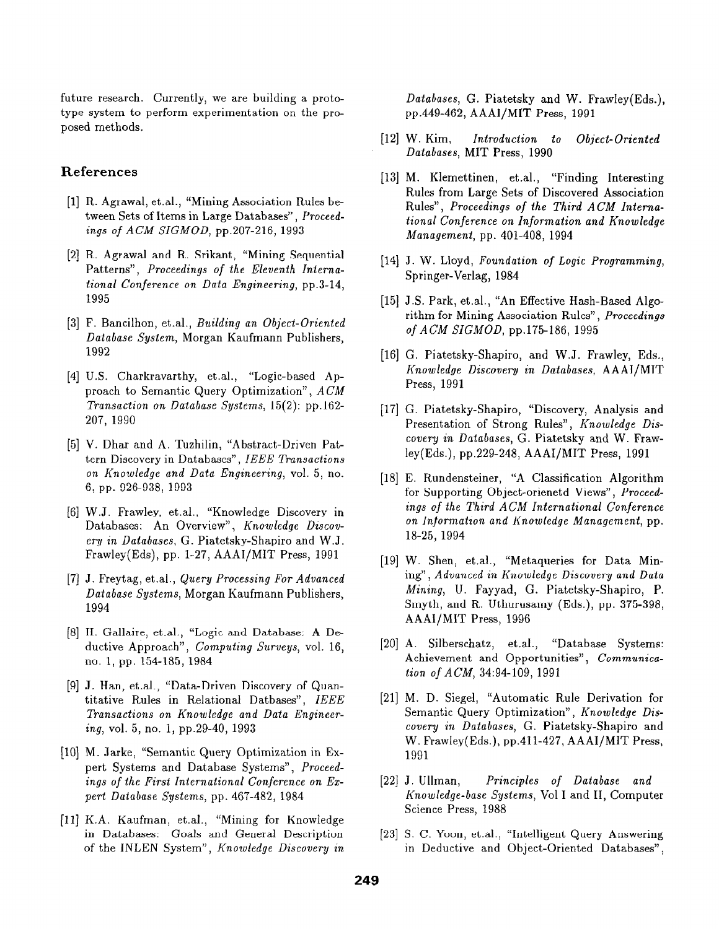future research. Currently, we are building a prototype system to perform experimentation on the proposed methods.

#### References

- [1] R. Agrawal, et.al., "Mining Association Rules between Sets of Items in Large Databases", Proceedings of ACM SIGMOD, pp.207-216, 1993
- [2] R. Agrawal and R. Srikant, "Mining Sequentia Patterns", Proceedings of the Eleventh International Conference on Data Engineering, pp.3-14, 1995
- $[3]$  F. Bancilhon, et.al., *Building an Object-Oriente* Database System, Morgan Kaufmann Publishers, 1992
- [4] U.S. Charkravarthy, et.al., "Logic-based Ap proach to Semantic Query Optimization", ACM Transaction on Database Systems, 15(2): pp.162- 207, 1990
- [51 V. Dhar and A. Tuzhilin, "Abstract-Driven Pattern Discovery in Databases", IEEE Transactions on Knowledge and Data Engineering, vol. 5, no. 6, pp. 926-938, 1993
- [6] W.J. Frawley, et.al., "Knowledge Discovery in Databases: An Overview", Knowledge Discovery in Databases, G. Piatetsky-Shapiro and W.J. Frawley(Eds), pp. l-27, AAAI/MIT Press, 1991
- [7] J. Freytag, et.al., *Query Processing For Advanced* Database Systems, Morgan Kaufmann Publishers, 1994
- [8] H. Gallaire, et.al., "Logic and Database: A Deductive Approach", Computing Surveys, vol. 16, no. 1, pp. 154-185, 1984
- [9] J. Han, et.al., "Data-Driven Discovery of Quan titative Rules in Relational Datbases", IEEE Transactions on Knowledge and Data Engineering, vol. 5, no, 1, pp.29-40, 1993
- El01 M. Jarke, "Semantic Query Optimization in Expert Systems and Database Systems", Froceedinqs of the First International Conference on Expert Database Systems, pp. 467-482, 1984
- [111 K.A. Kaufman, et.al., "Mining for Knowledge in Databases: Goals and General Description of the INLEN System", Knowledge Discovery in

Databases, G. Piatetsky and W. Frawley(Eds.), pp.449-462, AAAI/MIT Press, 1991

- $[12]$  W. Kim. Introduction to Object-Oriented Databases, MIT Press, 1990
- [13] M. Klemettinen, et.al., "Finding Interestin Rules from Large Sets of Discovered Association Rules", Proceedings of the Third ACM International Conference on Information and Knowledge Management, pp. 401-408, 1994
- $[14]$  J. W. Lloyd, Foundation of Logic Programming Springer-Verlag, 1984
- [15] J.S. Park, et.al., "An Effective Hash-Based Algo rithm for Mining Association Rules", Proceedings of ACM SIGMOD, pp.175-186, 1995
- [16] G. Piatetsky-Shapiro, and W.J. Frawley, Eds., Knowledge Discovery in Databases, AAAI/MIT Press, 1991
- El71 G. Piatetsky-Shapiro, "Discovery, Analysis and Presentation of Strong Rules", Knowledge Discovery in Databases, G. Piatetsky and W. Frawley(Eds.), pp.229-248, AAAI/MIT Press, 1991
- [18] E. Rundensteiner, "A Classification Algorithm for Supporting Object-orienetd Views", Proceedings of the Third ACM International Conference on Information and Knowledge Management, pp. 18-25, 1994
- [19] W. Shen, et.al., "Metaqueries for Data Min ing", Advanced in Knowledge Discovery and Data Mining, U. Fayyad, G. Piatetsky-Shapiro, P. Smyth, and R. Uthurusamy (Eds.), pp. 375-398, AAAI/MIT Press, 1996
- [20] A. Silberschatz, et.al., "Database Systems: Achievement and Opportunities", Communication of ACM, 34:94-109, 1991
- [21] M. D. Siegel, "Automatic Rule Derivation for Semantic Query Optimization", Knowledge Discovery in Databases, G. Piatetsky-Shapiro and W. Frawley(Eds.), pp.411-427, AAAI/MIT Press, 1991
- $[22]$  J. Ullman, Principles of Database and Knowledge-base Systems, Vol I and II, Computer Science Press, 1988
- [231 S. C. Yoon, et.al., "Intelligent Query Answering in Deductive and Object-Oriented Databases",